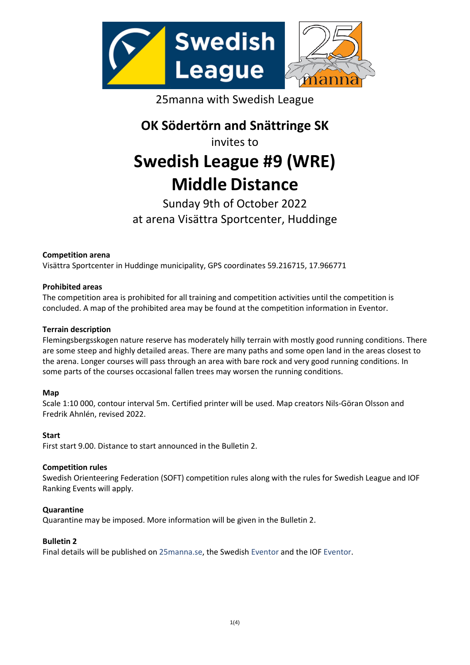

25manna with Swedish League

**OK Södertörn and Snättringe SK**

invites to

# **Swedish League #9 (WRE) Middle Distance**

# Sunday 9th of October 2022 at arena Visättra Sportcenter, Huddinge

# **Competition arena**

Visättra Sportcenter in Huddinge municipality, GPS coordinates 59.216715, 17.966771

# **Prohibited areas**

The competition area is prohibited for all training and competition activities until the competition is concluded. A map of the prohibited area may be found at the competition information in Eventor.

# **Terrain description**

Flemingsbergsskogen nature reserve has moderately hilly terrain with mostly good running conditions. There are some steep and highly detailed areas. There are many paths and some open land in the areas closest to the arena. Longer courses will pass through an area with bare rock and very good running conditions. In some parts of the courses occasional fallen trees may worsen the running conditions.

# **Map**

Scale 1:10 000, contour interval 5m. Certified printer will be used. Map creators Nils-Göran Olsson and Fredrik Ahnlén, revised 2022.

# **Start**

First start 9.00. Distance to start announced in the Bulletin 2.

# **Competition rules**

Swedish Orienteering Federation (SOFT) competition rules along with the rules for Swedish League and IOF Ranking Events will apply.

# **Quarantine**

Quarantine may be imposed. More information will be given in the Bulletin 2.

# **Bulletin 2**

Final details will be published o[n 25manna.se,](https://www.25manna.se/en/) the Swedish [Eventor](https://eventor.orientering.se/Events/Show/36766?culture=en-GB) and the IOF [Eventor.](https://eventor.orienteering.org/Events/Show/7287)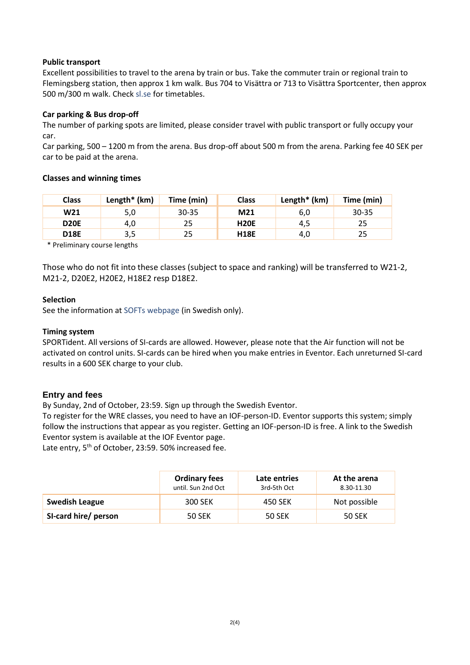### **Public transport**

Excellent possibilities to travel to the arena by train or bus. Take the commuter train or regional train to Flemingsberg station, then approx 1 km walk. Bus 704 to Visättra or 713 to Visättra Sportcenter, then approx 500 m/300 m walk. Check [sl.se](http://www.sl.se/en) for timetables.

#### **Car parking & Bus drop-off**

The number of parking spots are limited, please consider travel with public transport or fully occupy your car.

Car parking, 500 – 1200 m from the arena. Bus drop-off about 500 m from the arena. Parking fee 40 SEK per car to be paid at the arena.

#### **Classes and winning times**

| <b>Class</b> | Length $*$ (km) | Time (min) | <b>Class</b> | Length $*$ (km) | Time (min) |
|--------------|-----------------|------------|--------------|-----------------|------------|
| W21          | 5,0             | $30 - 35$  | M21          | 6,0             | 30-35      |
| <b>D20E</b>  | 4,0             | 25         | <b>H20E</b>  | 4,5             | 25         |
| <b>D18E</b>  | 3,5             | 25         | <b>H18E</b>  | 4,0             | 25         |

\* Preliminary course lengths

Those who do not fit into these classes (subject to space and ranking) will be transferred to W21-2, M21-2, D20E2, H20E2, H18E2 resp D18E2.

#### **Selection**

See the information at [SOFTs webpage](https://www.svenskorientering.se/tranatavla/SwedishLeague/forutsattningarfordeltagare/deltagarurvalfordelningochlottning/) (in Swedish only).

#### **Timing system**

SPORTident. All versions of SI-cards are allowed. However, please note that the Air function will not be activated on control units. SI-cards can be hired when you make entries in Eventor. Each unreturned SI-card results in a 600 SEK charge to your club.

# **Entry and fees**

By Sunday, 2nd of October, 23:59. Sign up through the Swedish Eventor.

To register for the WRE classes, you need to have an IOF-person-ID. Eventor supports this system; simply follow the instructions that appear as you register. Getting an IOF-person-ID is free. A link to the Swedish Eventor system is available at the IOF Eventor page.

Late entry, 5<sup>th</sup> of October, 23:59. 50% increased fee.

|                       | <b>Ordinary fees</b><br>until. Sun 2nd Oct | Late entries<br>3rd-5th Oct | At the arena<br>8.30-11.30 |
|-----------------------|--------------------------------------------|-----------------------------|----------------------------|
| <b>Swedish League</b> | 300 SEK                                    | 450 SEK                     | Not possible               |
| SI-card hire/ person  | <b>50 SEK</b>                              | <b>50 SEK</b>               | <b>50 SEK</b>              |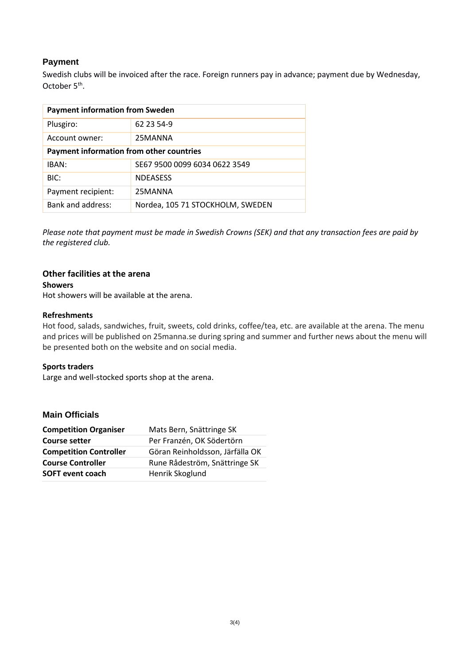# **Payment**

Swedish clubs will be invoiced after the race. Foreign runners pay in advance; payment due by Wednesday, October 5<sup>th</sup>.

| <b>Payment information from Sweden</b>   |                                  |  |  |  |
|------------------------------------------|----------------------------------|--|--|--|
| Plusgiro:                                | 62 23 54-9                       |  |  |  |
| Account owner:                           | 25MANNA                          |  |  |  |
| Payment information from other countries |                                  |  |  |  |
| IBAN:                                    | SE67 9500 0099 6034 0622 3549    |  |  |  |
| BIC:                                     | <b>NDEASESS</b>                  |  |  |  |
| Payment recipient:                       | 25MANNA                          |  |  |  |
| Bank and address:                        | Nordea, 105 71 STOCKHOLM, SWEDEN |  |  |  |

*Please note that payment must be made in Swedish Crowns (SEK) and that any transaction fees are paid by the registered club.*

# **Other facilities at the arena**

#### **Showers**

Hot showers will be available at the arena.

#### **Refreshments**

Hot food, salads, sandwiches, fruit, sweets, cold drinks, coffee/tea, etc. are available at the arena. The menu and prices will be published on 25manna.se during spring and summer and further news about the menu will be presented both on the website and on social media.

#### **Sports traders**

Large and well-stocked sports shop at the arena.

# **Main Officials**

| <b>Competition Organiser</b>  | Mats Bern, Snättringe SK        |
|-------------------------------|---------------------------------|
| <b>Course setter</b>          | Per Franzén, OK Södertörn       |
| <b>Competition Controller</b> | Göran Reinholdsson, Järfälla OK |
| <b>Course Controller</b>      | Rune Rådeström, Snättringe SK   |
| <b>SOFT event coach</b>       | Henrik Skoglund                 |